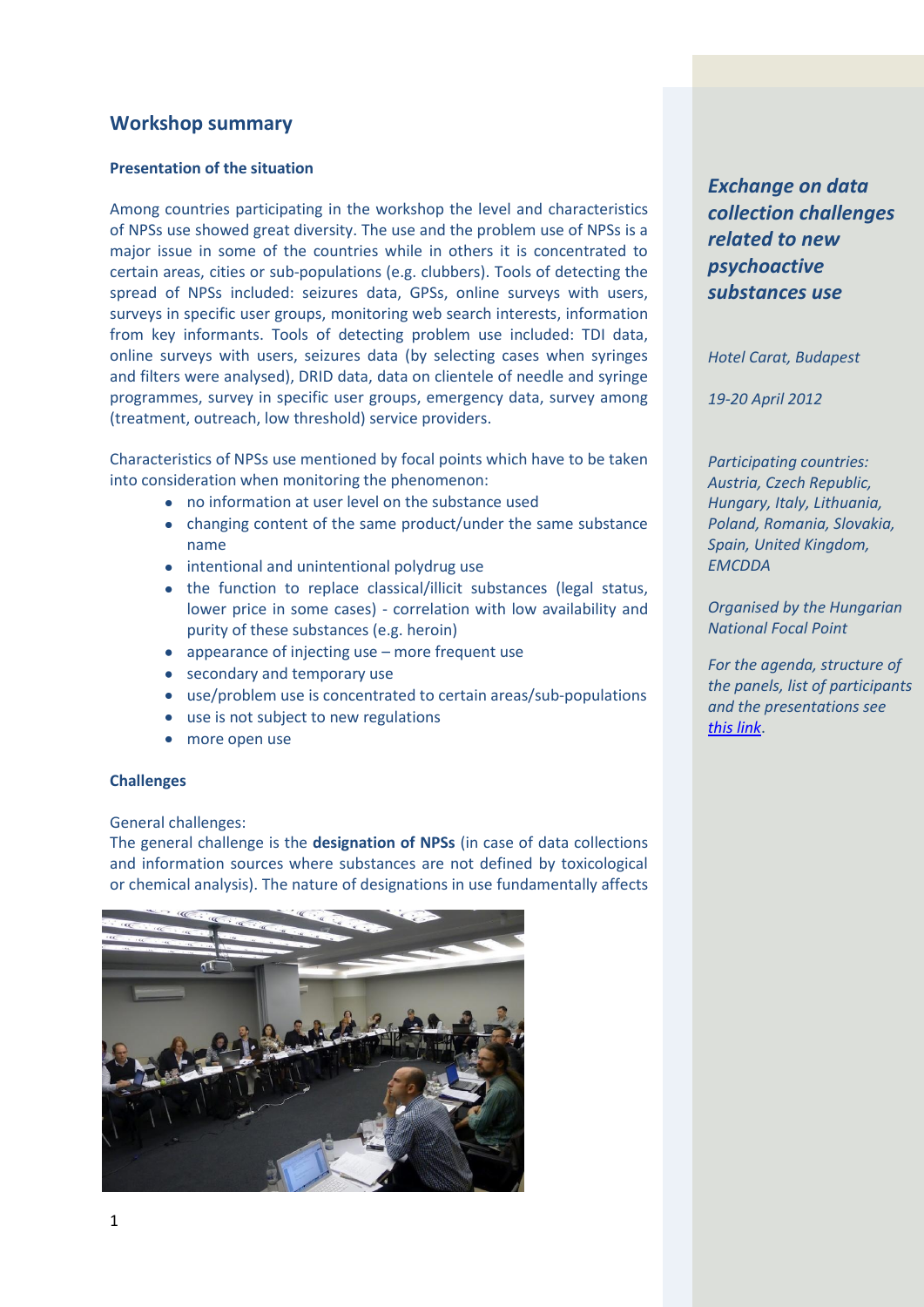# **Workshop summary**

## **Presentation of the situation**

Among countries participating in the workshop the level and characteristics of NPSs use showed great diversity. The use and the problem use of NPSs is a major issue in some of the countries while in others it is concentrated to certain areas, cities or sub-populations (e.g. clubbers). Tools of detecting the spread of NPSs included: seizures data, GPSs, online surveys with users, surveys in specific user groups, monitoring web search interests, information from key informants. Tools of detecting problem use included: TDI data, online surveys with users, seizures data (by selecting cases when syringes and filters were analysed), DRID data, data on clientele of needle and syringe programmes, survey in specific user groups, emergency data, survey among (treatment, outreach, low threshold) service providers.

Characteristics of NPSs use mentioned by focal points which have to be taken into consideration when monitoring the phenomenon:

- no information at user level on the substance used
- changing content of the same product/under the same substance name
- intentional and unintentional polydrug use
- the function to replace classical/illicit substances (legal status, lower price in some cases) - correlation with low availability and purity of these substances (e.g. heroin)
- appearance of injecting use more frequent use
- secondary and temporary use
- use/problem use is concentrated to certain areas/sub-populations
- use is not subject to new regulations
- more open use

## **Challenges**

## General challenges:

The general challenge is the **designation of NPSs** (in case of data collections and information sources where substances are not defined by toxicological or chemical analysis). The nature of designations in use fundamentally affects



*Exchange on data collection challenges related to new psychoactive substances use*

*Hotel Carat, Budapest*

*19-20 April 2012*

*Participating countries: Austria, Czech Republic, Hungary, Italy, Lithuania, Poland, Romania, Slovakia, Spain, United Kingdom, EMCDDA*

*Organised by the Hungarian National Focal Point*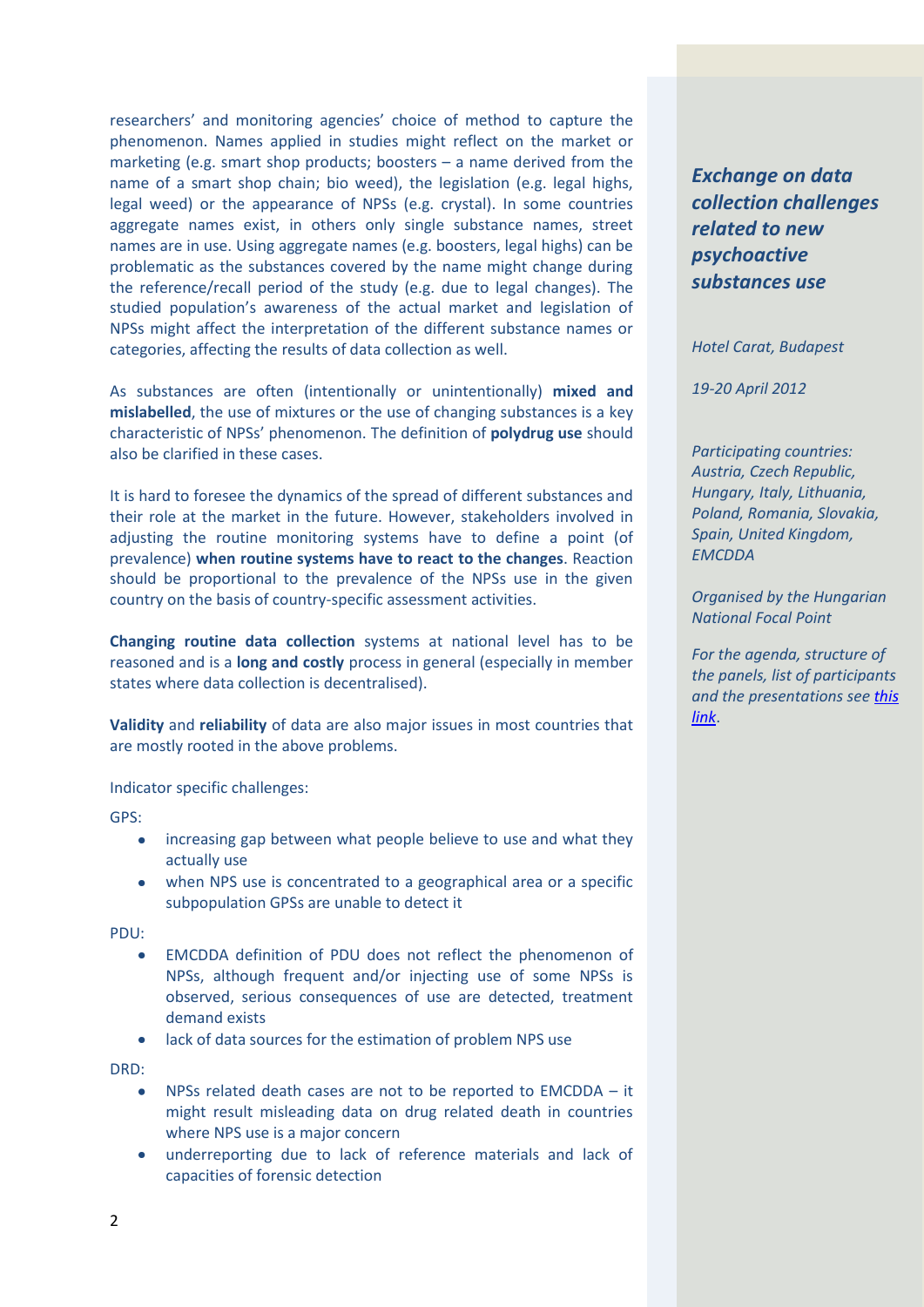researchers' and monitoring agencies' choice of method to capture the phenomenon. Names applied in studies might reflect on the market or marketing (e.g. smart shop products; boosters – a name derived from the name of a smart shop chain; bio weed), the legislation (e.g. legal highs, legal weed) or the appearance of NPSs (e.g. crystal). In some countries aggregate names exist, in others only single substance names, street names are in use. Using aggregate names (e.g. boosters, legal highs) can be problematic as the substances covered by the name might change during the reference/recall period of the study (e.g. due to legal changes). The studied population's awareness of the actual market and legislation of NPSs might affect the interpretation of the different substance names or categories, affecting the results of data collection as well.

As substances are often (intentionally or unintentionally) **mixed and mislabelled**, the use of mixtures or the use of changing substances is a key characteristic of NPSs' phenomenon. The definition of **polydrug use** should also be clarified in these cases.

It is hard to foresee the dynamics of the spread of different substances and their role at the market in the future. However, stakeholders involved in adjusting the routine monitoring systems have to define a point (of prevalence) **when routine systems have to react to the changes**. Reaction should be proportional to the prevalence of the NPSs use in the given country on the basis of country-specific assessment activities.

**Changing routine data collection** systems at national level has to be reasoned and is a **long and costly** process in general (especially in member states where data collection is decentralised).

**Validity** and **reliability** of data are also major issues in most countries that are mostly rooted in the above problems.

Indicator specific challenges:

GPS:

- increasing gap between what people believe to use and what they  $\bullet$ actually use
- when NPS use is concentrated to a geographical area or a specific subpopulation GPSs are unable to detect it

PDU:

- EMCDDA definition of PDU does not reflect the phenomenon of NPSs, although frequent and/or injecting use of some NPSs is observed, serious consequences of use are detected, treatment demand exists
- lack of data sources for the estimation of problem NPS use  $\bullet$

DRD:

- NPSs related death cases are not to be reported to EMCDDA it  $\bullet$ might result misleading data on drug related death in countries where NPS use is a major concern
- underreporting due to lack of reference materials and lack of capacities of forensic detection

*Exchange on data collection challenges related to new psychoactive substances use*

*Hotel Carat, Budapest*

*19-20 April 2012*

*Participating countries: Austria, Czech Republic, Hungary, Italy, Lithuania, Poland, Romania, Slovakia, Spain, United Kingdom, EMCDDA*

*Organised by the Hungarian National Focal Point*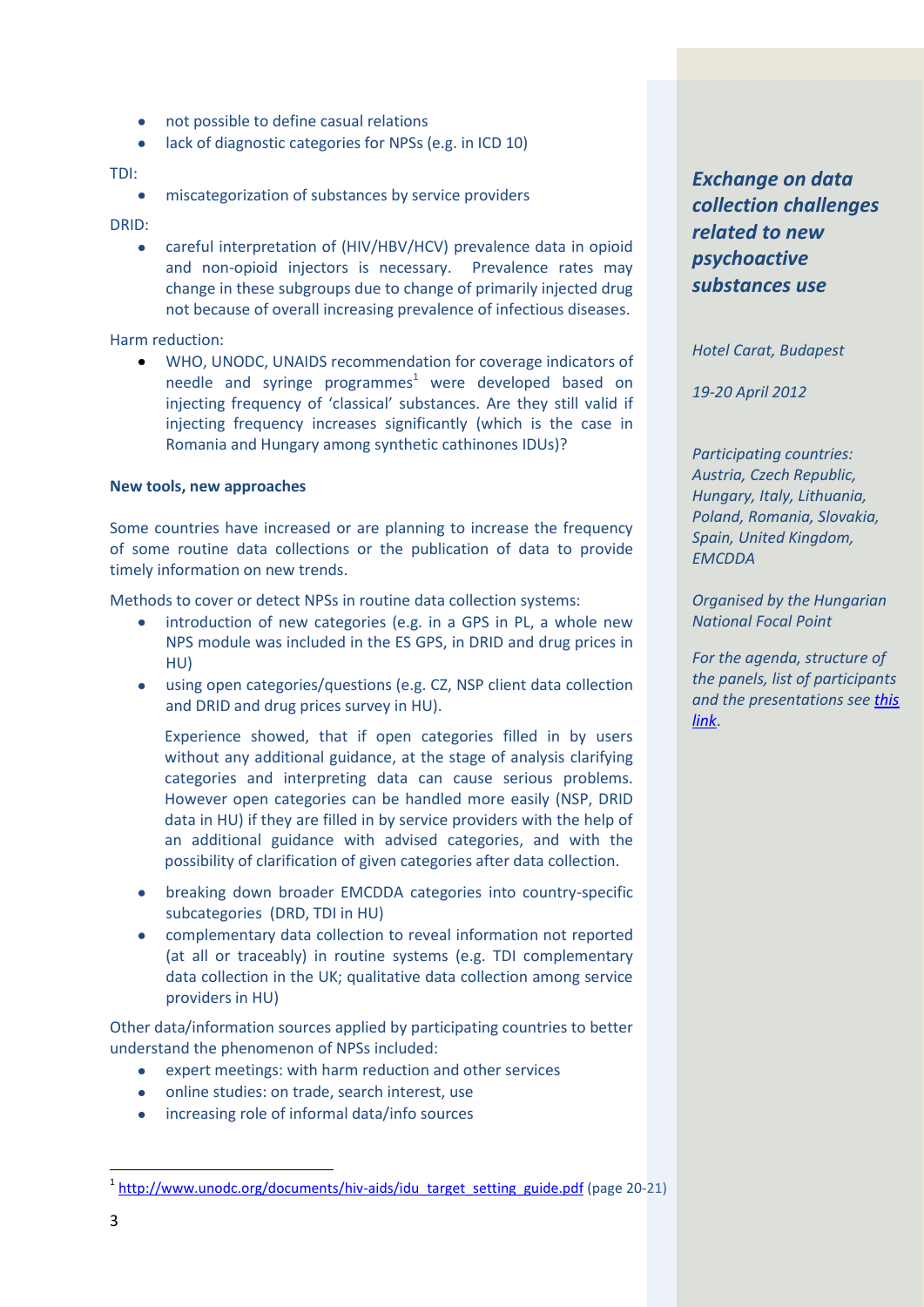- not possible to define casual relations
- lack of diagnostic categories for NPSs (e.g. in ICD 10)

### TDI:

miscategorization of substances by service providers

DRID:

careful interpretation of (HIV/HBV/HCV) prevalence data in opioid and non-opioid injectors is necessary. Prevalence rates may change in these subgroups due to change of primarily injected drug not because of overall increasing prevalence of infectious diseases.

Harm reduction:

WHO, UNODC, UNAIDS recommendation for coverage indicators of needle and syringe programmes $<sup>1</sup>$  were developed based on</sup> injecting frequency of 'classical' substances. Are they still valid if injecting frequency increases significantly (which is the case in Romania and Hungary among synthetic cathinones IDUs)?

### **New tools, new approaches**

Some countries have increased or are planning to increase the frequency of some routine data collections or the publication of data to provide timely information on new trends.

Methods to cover or detect NPSs in routine data collection systems:

- introduction of new categories (e.g. in a GPS in PL, a whole new NPS module was included in the ES GPS, in DRID and drug prices in HU)
- using open categories/questions (e.g. CZ, NSP client data collection and DRID and drug prices survey in HU).

Experience showed, that if open categories filled in by users without any additional guidance, at the stage of analysis clarifying categories and interpreting data can cause serious problems. However open categories can be handled more easily (NSP, DRID data in HU) if they are filled in by service providers with the help of an additional guidance with advised categories, and with the possibility of clarification of given categories after data collection.

- breaking down broader EMCDDA categories into country-specific subcategories (DRD, TDI in HU)
- complementary data collection to reveal information not reported (at all or traceably) in routine systems (e.g. TDI complementary data collection in the UK; qualitative data collection among service providers in HU)

Other data/information sources applied by participating countries to better understand the phenomenon of NPSs included:

- expert meetings: with harm reduction and other services
- online studies: on trade, search interest, use
- increasing role of informal data/info sources

*Exchange on data collection challenges related to new psychoactive substances use*

*Hotel Carat, Budapest*

*19-20 April 2012*

*Participating countries: Austria, Czech Republic, Hungary, Italy, Lithuania, Poland, Romania, Slovakia, Spain, United Kingdom, EMCDDA*

*Organised by the Hungarian National Focal Point*

*For the agenda, structure of the panels, list of participants and the presentations se[e this](http://www.drogfokuszpont.hu/?NPS&pid=258&lang=eng)  [link](http://www.drogfokuszpont.hu/?NPS&pid=258&lang=eng)*.

**.** 

<sup>&</sup>lt;sup>1</sup> [http://www.unodc.org/documents/hiv-aids/idu\\_target\\_setting\\_guide.pdf](http://www.unodc.org/documents/hiv-aids/idu_target_setting_guide.pdf) (page 20-21)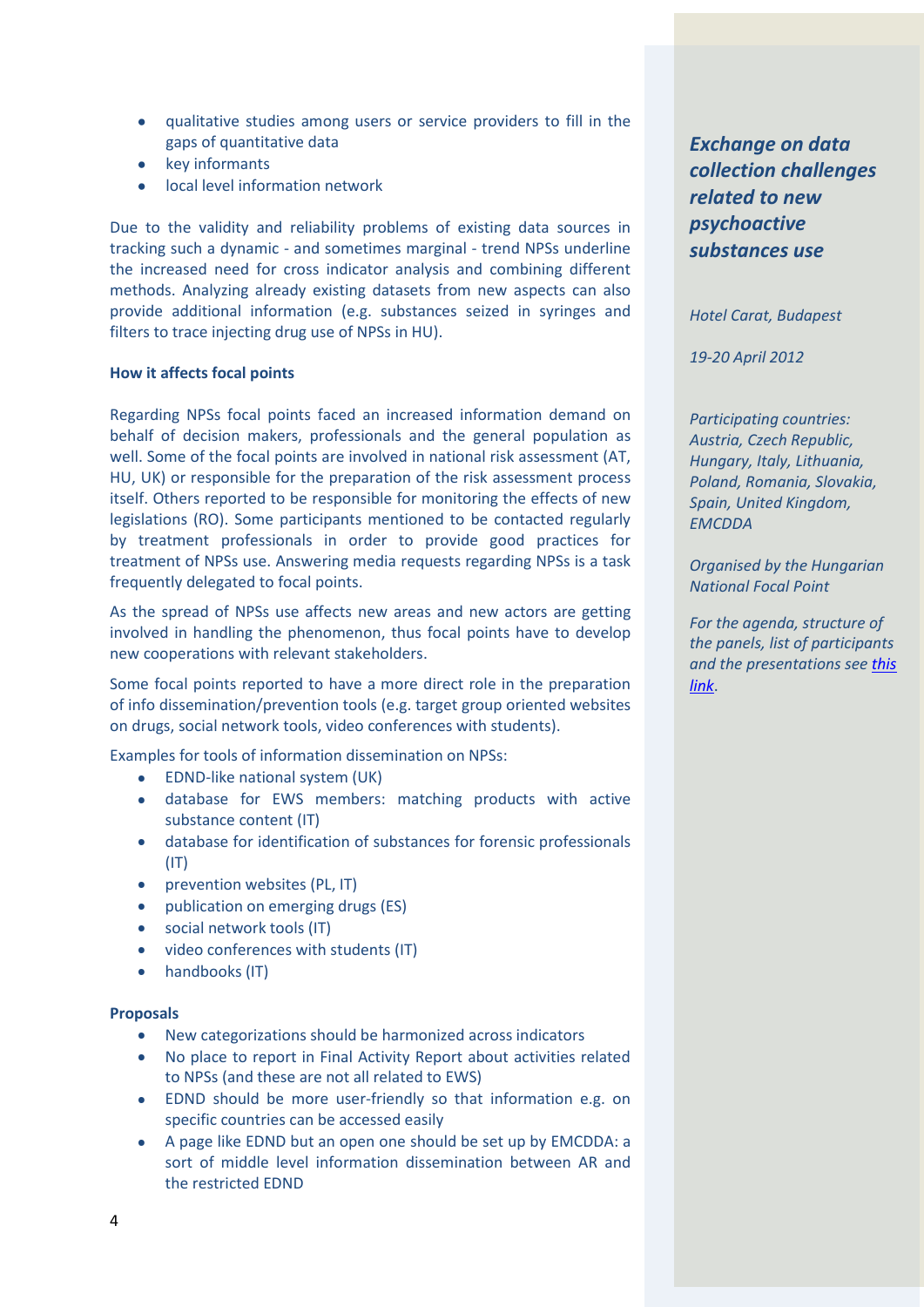- qualitative studies among users or service providers to fill in the gaps of quantitative data
- key informants
- local level information network

Due to the validity and reliability problems of existing data sources in tracking such a dynamic - and sometimes marginal - trend NPSs underline the increased need for cross indicator analysis and combining different methods. Analyzing already existing datasets from new aspects can also provide additional information (e.g. substances seized in syringes and filters to trace injecting drug use of NPSs in HU).

## **How it affects focal points**

Regarding NPSs focal points faced an increased information demand on behalf of decision makers, professionals and the general population as well. Some of the focal points are involved in national risk assessment (AT, HU, UK) or responsible for the preparation of the risk assessment process itself. Others reported to be responsible for monitoring the effects of new legislations (RO). Some participants mentioned to be contacted regularly by treatment professionals in order to provide good practices for treatment of NPSs use. Answering media requests regarding NPSs is a task frequently delegated to focal points.

As the spread of NPSs use affects new areas and new actors are getting involved in handling the phenomenon, thus focal points have to develop new cooperations with relevant stakeholders.

Some focal points reported to have a more direct role in the preparation of info dissemination/prevention tools (e.g. target group oriented websites on drugs, social network tools, video conferences with students).

Examples for tools of information dissemination on NPSs:

- EDND-like national system (UK)
- database for EWS members: matching products with active substance content (IT)
- database for identification of substances for forensic professionals  $(IT)$
- prevention websites (PL, IT)
- publication on emerging drugs (ES)
- social network tools (IT)
- video conferences with students (IT)
- handbooks (IT)

#### **Proposals**

- $\bullet$ New categorizations should be harmonized across indicators
- No place to report in Final Activity Report about activities related to NPSs (and these are not all related to EWS)
- EDND should be more user-friendly so that information e.g. on specific countries can be accessed easily
- A page like EDND but an open one should be set up by EMCDDA: a sort of middle level information dissemination between AR and the restricted EDND

*Exchange on data collection challenges related to new psychoactive substances use*

*Hotel Carat, Budapest*

*19-20 April 2012*

*Participating countries: Austria, Czech Republic, Hungary, Italy, Lithuania, Poland, Romania, Slovakia, Spain, United Kingdom, EMCDDA*

*Organised by the Hungarian National Focal Point*